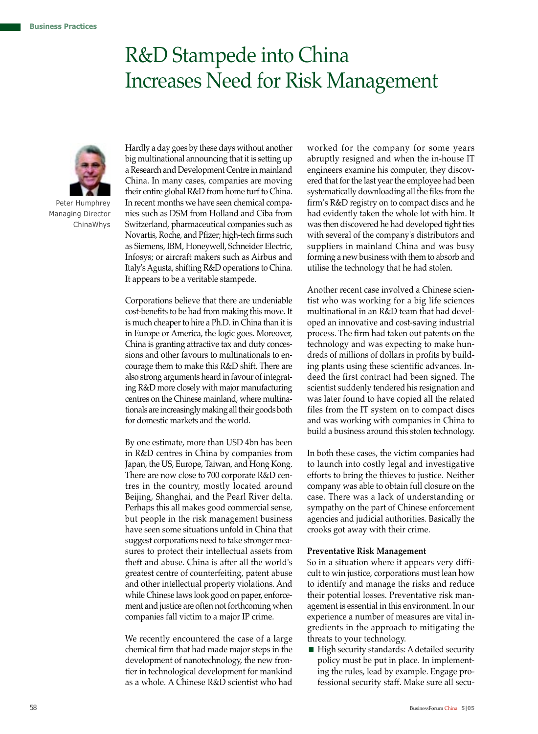# R&D Stampede into China Increases Need for Risk Management



 Peter Humphrey Managing Director ChinaWhys

Hardly a day goes by these days without another big multinational announcing that it is setting up a Research and Development Centre in mainland China. In many cases, companies are moving their entire global R&D from home turf to China. In recent months we have seen chemical companies such as DSM from Holland and Ciba from Switzerland, pharmaceutical companies such as Novartis, Roche, and Pfizer; high-tech firms such as Siemens, IBM, Honeywell, Schneider Electric, Infosys; or aircraft makers such as Airbus and Italy's Agusta, shifting R&D operations to China. It appears to be a veritable stampede.

Corporations believe that there are undeniable cost-benefits to be had from making this move. It is much cheaper to hire a Ph.D. in China than it is in Europe or America, the logic goes. Moreover, China is granting attractive tax and duty concessions and other favours to multinationals to encourage them to make this R&D shift. There are also strong arguments heard in favour of integrating R&D more closely with major manufacturing centres on the Chinese mainland, where multinationals are increasingly making all their goods both for domestic markets and the world.

By one estimate, more than USD 4bn has been in R&D centres in China by companies from Japan, the US, Europe, Taiwan, and Hong Kong. There are now close to 700 corporate R&D centres in the country, mostly located around Beijing, Shanghai, and the Pearl River delta. Perhaps this all makes good commercial sense, but people in the risk management business have seen some situations unfold in China that suggest corporations need to take stronger measures to protect their intellectual assets from theft and abuse. China is after all the world's greatest centre of counterfeiting, patent abuse and other intellectual property violations. And while Chinese laws look good on paper, enforcement and justice are often not forthcoming when companies fall victim to a major IP crime.

We recently encountered the case of a large chemical firm that had made major steps in the development of nanotechnology, the new frontier in technological development for mankind as a whole. A Chinese R&D scientist who had

worked for the company for some years abruptly resigned and when the in-house IT engineers examine his computer, they discovered that for the last year the employee had been systematically downloading all the files from the firm's R&D registry on to compact discs and he had evidently taken the whole lot with him. It was then discovered he had developed tight ties with several of the company's distributors and suppliers in mainland China and was busy forming a new business with them to absorb and utilise the technology that he had stolen.

Another recent case involved a Chinese scientist who was working for a big life sciences multinational in an R&D team that had developed an innovative and cost-saving industrial process. The firm had taken out patents on the technology and was expecting to make hundreds of millions of dollars in profits by building plants using these scientific advances. Indeed the first contract had been signed. The scientist suddenly tendered his resignation and was later found to have copied all the related files from the IT system on to compact discs and was working with companies in China to build a business around this stolen technology.

In both these cases, the victim companies had to launch into costly legal and investigative efforts to bring the thieves to justice. Neither company was able to obtain full closure on the case. There was a lack of understanding or sympathy on the part of Chinese enforcement agencies and judicial authorities. Basically the crooks got away with their crime.

## **Preventative Risk Management**

So in a situation where it appears very difficult to win justice, corporations must lean how to identify and manage the risks and reduce their potential losses. Preventative risk management is essential in this environment. In our experience a number of measures are vital ingredients in the approach to mitigating the threats to your technology.

High security standards: A detailed security policy must be put in place. In implementing the rules, lead by example. Engage professional security staff. Make sure all secu